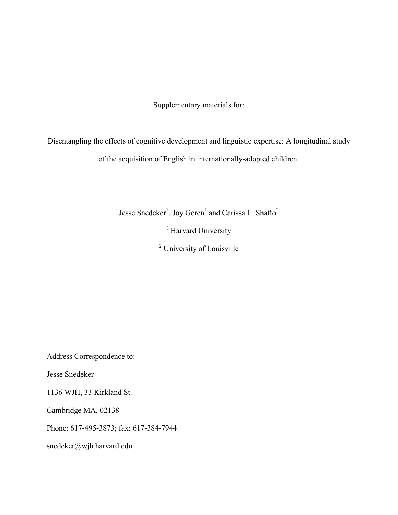Supplementary materials for:

Disentangling the effects of cognitive development and linguistic expertise: A longitudinal study of the acquisition of English in internationally-adopted children.

Jesse Snedeker<sup>1</sup>, Joy Geren<sup>1</sup> and Carissa L. Shafto<sup>2</sup>

<sup>1</sup> Harvard University

<sup>2</sup> University of Louisville

Address Correspondence to:

Jesse Snedeker

1136 WJH, 33 Kirkland St.

Cambridge MA, 02138

Phone: 617-495-3873; fax: 617-384-7944

snedeker@wjh.harvard.edu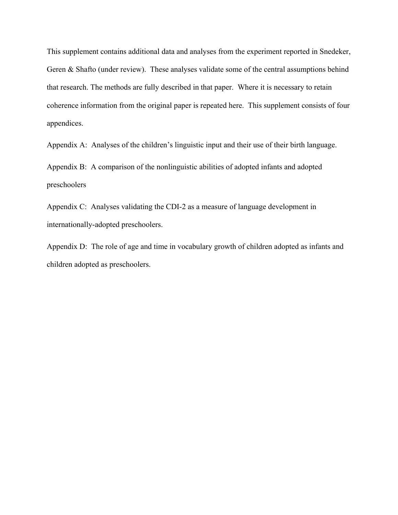This supplement contains additional data and analyses from the experiment reported in Snedeker, Geren & Shafto (under review). These analyses validate some of the central assumptions behind that research. The methods are fully described in that paper. Where it is necessary to retain coherence information from the original paper is repeated here. This supplement consists of four appendices.

Appendix A: Analyses of the children's linguistic input and their use of their birth language.

Appendix B: A comparison of the nonlinguistic abilities of adopted infants and adopted preschoolers

Appendix C: Analyses validating the CDI-2 as a measure of language development in internationally-adopted preschoolers.

Appendix D: The role of age and time in vocabulary growth of children adopted as infants and children adopted as preschoolers.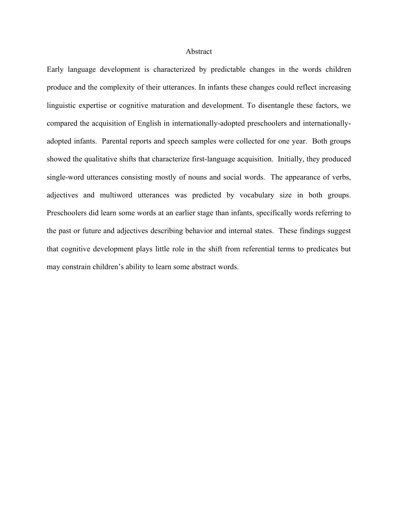#### Abstract

Early language development is characterized by predictable changes in the words children produce and the complexity of their utterances. In infants these changes could reflect increasing linguistic expertise or cognitive maturation and development. To disentangle these factors, we compared the acquisition of English in internationally-adopted preschoolers and internationallyadopted infants. Parental reports and speech samples were collected for one year. Both groups showed the qualitative shifts that characterize first-language acquisition. Initially, they produced single-word utterances consisting mostly of nouns and social words. The appearance of verbs, adjectives and multiword utterances was predicted by vocabulary size in both groups. Preschoolers did learn some words at an earlier stage than infants, specifically words referring to the past or future and adjectives describing behavior and internal states. These findings suggest that cognitive development plays little role in the shift from referential terms to predicates but may constrain children's ability to learn some abstract words.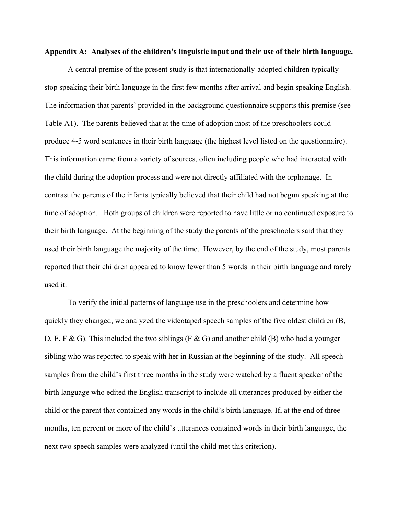### **Appendix A: Analyses of the children's linguistic input and their use of their birth language.**

A central premise of the present study is that internationally-adopted children typically stop speaking their birth language in the first few months after arrival and begin speaking English. The information that parents' provided in the background questionnaire supports this premise (see Table A1). The parents believed that at the time of adoption most of the preschoolers could produce 4-5 word sentences in their birth language (the highest level listed on the questionnaire). This information came from a variety of sources, often including people who had interacted with the child during the adoption process and were not directly affiliated with the orphanage. In contrast the parents of the infants typically believed that their child had not begun speaking at the time of adoption. Both groups of children were reported to have little or no continued exposure to their birth language. At the beginning of the study the parents of the preschoolers said that they used their birth language the majority of the time. However, by the end of the study, most parents reported that their children appeared to know fewer than 5 words in their birth language and rarely used it.

To verify the initial patterns of language use in the preschoolers and determine how quickly they changed, we analyzed the videotaped speech samples of the five oldest children (B, D, E, F & G). This included the two siblings (F & G) and another child (B) who had a younger sibling who was reported to speak with her in Russian at the beginning of the study. All speech samples from the child's first three months in the study were watched by a fluent speaker of the birth language who edited the English transcript to include all utterances produced by either the child or the parent that contained any words in the child's birth language. If, at the end of three months, ten percent or more of the child's utterances contained words in their birth language, the next two speech samples were analyzed (until the child met this criterion).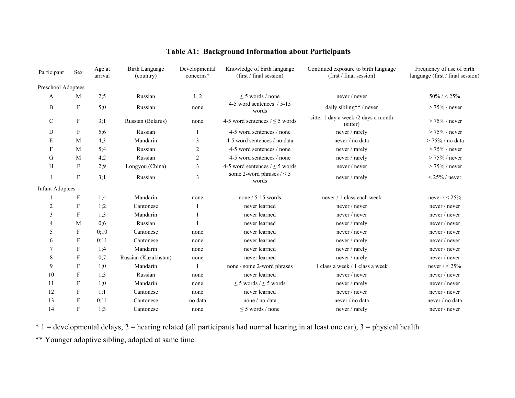| Participant            | Sex                       | Age at<br>arrival | <b>Birth Language</b><br>(country) | Developmental<br>concerns* | Knowledge of birth language<br>Continued exposure to birth language<br>(first / final session)<br>(first / final session) |                                                 | Frequency of use of birth<br>language (first / final session) |
|------------------------|---------------------------|-------------------|------------------------------------|----------------------------|---------------------------------------------------------------------------------------------------------------------------|-------------------------------------------------|---------------------------------------------------------------|
| Preschool Adoptees     |                           |                   |                                    |                            |                                                                                                                           |                                                 |                                                               |
| A                      | M                         | 2:5               | Russian                            | 1, 2                       | $\leq$ 5 words / none                                                                                                     | never / never                                   | $50\% / < 25\%$                                               |
| B                      | F                         | 5:0               | Russian                            | none                       | 4-5 word sentences / 5-15<br>words                                                                                        | daily sibling** / never                         | $> 75\%$ / never                                              |
| $\mathcal{C}$          | F                         | 3:1               | Russian (Belarus)                  | none                       | 4-5 word sentences $/ < 5$ words                                                                                          | sitter 1 day a week /2 days a month<br>(sitter) | $> 75\%$ / never                                              |
| D                      | F                         | 5:6               | Russian                            | $\mathbf{1}$               | 4-5 word sentences / none                                                                                                 | never / rarely                                  | $> 75\%$ / never                                              |
| E                      | M                         | 4:3               | Mandarin                           | 3                          | 4-5 word sentences / no data                                                                                              | never / no data                                 | $> 75\%$ / no data                                            |
| F                      | M                         | 5;4               | Russian                            | $\overline{2}$             | 4-5 word sentences / none                                                                                                 | never / rarely                                  | $> 75\%$ / never                                              |
| G                      | M                         | 4;2               | Russian                            | $\sqrt{2}$                 | 4-5 word sentences / none                                                                                                 | never / rarely                                  | $> 75\%$ / never                                              |
| H                      | $\mathbf{F}$              | 2;9               | Longyou (China)                    | $\mathfrak{Z}$             | 4-5 word sentences $/ \leq 5$ words                                                                                       | never / never                                   | $> 75\%$ / never                                              |
| Ι                      | $\boldsymbol{\mathrm{F}}$ | 3:1               | Russian                            | 3                          | some 2-word phrases $/ \leq 5$<br>words                                                                                   | never / rarely                                  | $\leq$ 25% / never                                            |
| <b>Infant Adoptees</b> |                           |                   |                                    |                            |                                                                                                                           |                                                 |                                                               |
|                        | F                         | 1;4               | Mandarin                           | none                       | none $/ 5 - 15$ words                                                                                                     | never / 1 class each week                       | never $/ < 25\%$                                              |
| 2                      | F                         | 1;2               | Cantonese                          |                            | never learned                                                                                                             | never / never                                   | never / never                                                 |
| 3                      | F                         | 1:3               | Mandarin                           |                            | never learned                                                                                                             | never / never                                   | never / never                                                 |
| 4                      | M                         | 0:6               | Russian                            |                            | never learned                                                                                                             | never / rarely                                  | never / never                                                 |
| 5                      | F                         | 0;10              | Cantonese                          | none                       | never learned                                                                                                             | never / never                                   | never / never                                                 |
| 6                      | F                         | 0;11              | Cantonese                          | none                       | never learned                                                                                                             | never / rarely                                  | never / never                                                 |
| 7                      | F                         | 1:4               | Mandarin                           | none                       | never learned                                                                                                             | never / rarely                                  | never / never                                                 |
| 8                      | F                         | 0:7               | Russian (Kazakhstan)               | none                       | never learned                                                                                                             | never / rarely                                  | never / never                                                 |
| 9                      | F                         | 1:0               | Mandarin                           |                            | none / some 2-word phrases                                                                                                | 1 class a week / 1 class a week                 | never $/ < 25\%$                                              |
| 10                     | F                         | 1:3               | Russian                            | none                       | never learned                                                                                                             | never / never                                   | never / never                                                 |
| 11                     | F                         | 1:0               | Mandarin                           | none                       | $\leq$ 5 words / $\leq$ 5 words                                                                                           | never / rarely                                  | never / never                                                 |
| 12                     | F                         | 1;1               | Cantonese                          | none                       | never learned                                                                                                             | never / never                                   | never / never                                                 |
| 13                     | F                         | 0:11              | Cantonese                          | no data                    | none / no data                                                                                                            | never / no data                                 | never / no data                                               |
| 14                     | $\mathbf{F}$              | 1:3               | Cantonese                          | none                       | $\leq$ 5 words / none                                                                                                     | never / rarely                                  | never / never                                                 |

# **Table A1: Background Information about Participants**

 $* 1 =$  developmental delays,  $2 =$  hearing related (all participants had normal hearing in at least one ear),  $3 =$  physical health.

\*\* Younger adoptive sibling, adopted at same time.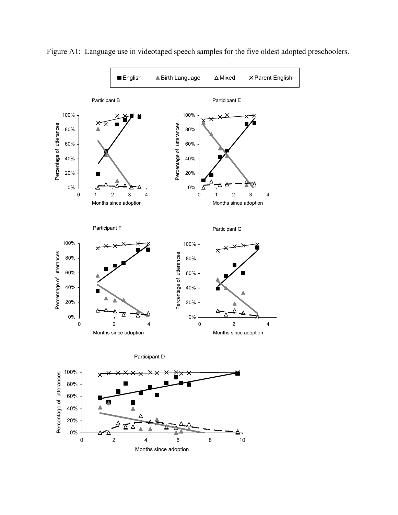

Figure A1: Language use in videotaped speech samples for the five oldest adopted preschoolers.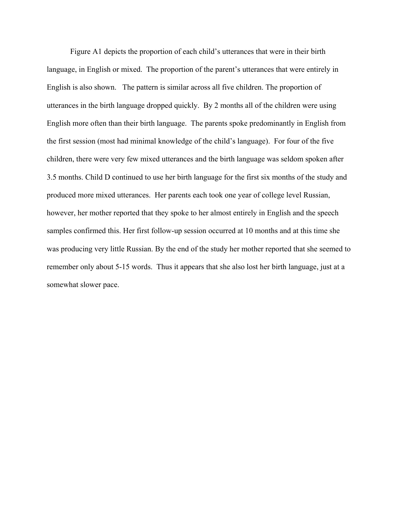Figure A1 depicts the proportion of each child's utterances that were in their birth language, in English or mixed. The proportion of the parent's utterances that were entirely in English is also shown. The pattern is similar across all five children. The proportion of utterances in the birth language dropped quickly. By 2 months all of the children were using English more often than their birth language. The parents spoke predominantly in English from the first session (most had minimal knowledge of the child's language). For four of the five children, there were very few mixed utterances and the birth language was seldom spoken after 3.5 months. Child D continued to use her birth language for the first six months of the study and produced more mixed utterances. Her parents each took one year of college level Russian, however, her mother reported that they spoke to her almost entirely in English and the speech samples confirmed this. Her first follow-up session occurred at 10 months and at this time she was producing very little Russian. By the end of the study her mother reported that she seemed to remember only about 5-15 words. Thus it appears that she also lost her birth language, just at a somewhat slower pace.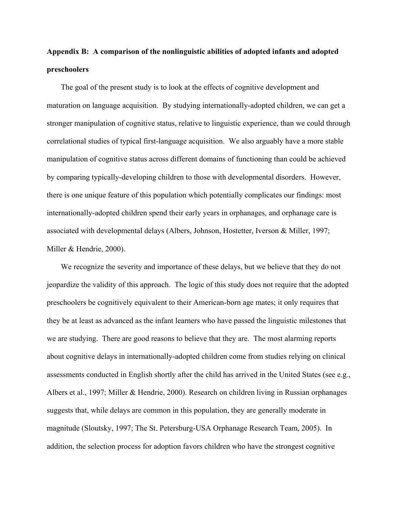# **Appendix B: A comparison of the nonlinguistic abilities of adopted infants and adopted preschoolers**

The goal of the present study is to look at the effects of cognitive development and maturation on language acquisition. By studying internationally-adopted children, we can get a stronger manipulation of cognitive status, relative to linguistic experience, than we could through correlational studies of typical first-language acquisition. We also arguably have a more stable manipulation of cognitive status across different domains of functioning than could be achieved by comparing typically-developing children to those with developmental disorders. However, there is one unique feature of this population which potentially complicates our findings: most internationally-adopted children spend their early years in orphanages, and orphanage care is associated with developmental delays (Albers, Johnson, Hostetter, Iverson & Miller, 1997; Miller & Hendrie, 2000).

We recognize the severity and importance of these delays, but we believe that they do not jeopardize the validity of this approach. The logic of this study does not require that the adopted preschoolers be cognitively equivalent to their American-born age mates; it only requires that they be at least as advanced as the infant learners who have passed the linguistic milestones that we are studying. There are good reasons to believe that they are. The most alarming reports about cognitive delays in internationally-adopted children come from studies relying on clinical assessments conducted in English shortly after the child has arrived in the United States (see e.g., Albers et al., 1997; Miller & Hendrie, 2000). Research on children living in Russian orphanages suggests that, while delays are common in this population, they are generally moderate in magnitude (Sloutsky, 1997; The St. Petersburg-USA Orphanage Research Team, 2005). In addition, the selection process for adoption favors children who have the strongest cognitive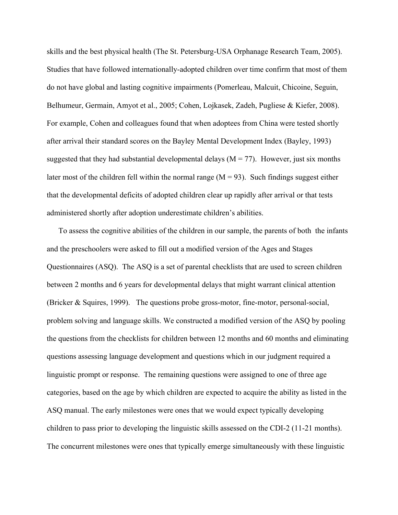skills and the best physical health (The St. Petersburg-USA Orphanage Research Team, 2005). Studies that have followed internationally-adopted children over time confirm that most of them do not have global and lasting cognitive impairments (Pomerleau, Malcuit, Chicoine, Seguin, Belhumeur, Germain, Amyot et al., 2005; Cohen, Lojkasek, Zadeh, Pugliese & Kiefer, 2008). For example, Cohen and colleagues found that when adoptees from China were tested shortly after arrival their standard scores on the Bayley Mental Development Index (Bayley, 1993) suggested that they had substantial developmental delays ( $M = 77$ ). However, just six months later most of the children fell within the normal range  $(M = 93)$ . Such findings suggest either that the developmental deficits of adopted children clear up rapidly after arrival or that tests administered shortly after adoption underestimate children's abilities.

To assess the cognitive abilities of the children in our sample, the parents of both the infants and the preschoolers were asked to fill out a modified version of the Ages and Stages Questionnaires (ASQ). The ASQ is a set of parental checklists that are used to screen children between 2 months and 6 years for developmental delays that might warrant clinical attention (Bricker & Squires, 1999). The questions probe gross-motor, fine-motor, personal-social, problem solving and language skills. We constructed a modified version of the ASQ by pooling the questions from the checklists for children between 12 months and 60 months and eliminating questions assessing language development and questions which in our judgment required a linguistic prompt or response. The remaining questions were assigned to one of three age categories, based on the age by which children are expected to acquire the ability as listed in the ASQ manual. The early milestones were ones that we would expect typically developing children to pass prior to developing the linguistic skills assessed on the CDI-2 (11-21 months). The concurrent milestones were ones that typically emerge simultaneously with these linguistic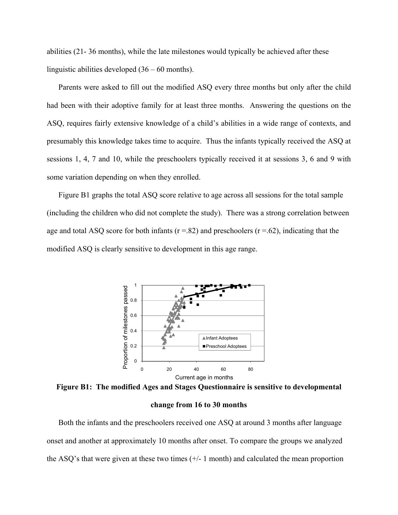abilities (21- 36 months), while the late milestones would typically be achieved after these linguistic abilities developed (36 – 60 months).

Parents were asked to fill out the modified ASQ every three months but only after the child had been with their adoptive family for at least three months. Answering the questions on the ASQ, requires fairly extensive knowledge of a child's abilities in a wide range of contexts, and presumably this knowledge takes time to acquire. Thus the infants typically received the ASQ at sessions 1, 4, 7 and 10, while the preschoolers typically received it at sessions 3, 6 and 9 with some variation depending on when they enrolled.

Figure B1 graphs the total ASQ score relative to age across all sessions for the total sample (including the children who did not complete the study). There was a strong correlation between age and total ASQ score for both infants ( $r = .82$ ) and preschoolers ( $r = .62$ ), indicating that the modified ASQ is clearly sensitive to development in this age range.



**Figure B1: The modified Ages and Stages Questionnaire is sensitive to developmental** 

**change from 16 to 30 months** 

Both the infants and the preschoolers received one ASQ at around 3 months after language onset and another at approximately 10 months after onset. To compare the groups we analyzed the ASQ's that were given at these two times  $(+/- 1 \text{ month})$  and calculated the mean proportion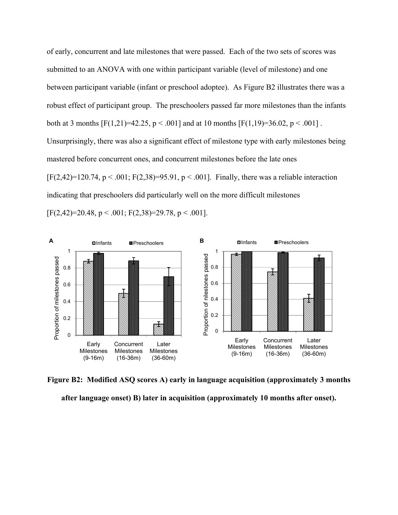of early, concurrent and late milestones that were passed. Each of the two sets of scores was submitted to an ANOVA with one within participant variable (level of milestone) and one between participant variable (infant or preschool adoptee). As Figure B2 illustrates there was a robust effect of participant group. The preschoolers passed far more milestones than the infants both at 3 months  $[F(1,21)=42.25, p \le .001]$  and at 10 months  $[F(1,19)=36.02, p \le .001]$ . Unsurprisingly, there was also a significant effect of milestone type with early milestones being mastered before concurrent ones, and concurrent milestones before the late ones  $[F(2,42)=120.74, p < .001; F(2,38)=95.91, p < .001]$ . Finally, there was a reliable interaction indicating that preschoolers did particularly well on the more difficult milestones  $[F(2,42)=20.48, p < .001; F(2,38)=29.78, p < .001].$ 



**Figure B2: Modified ASQ scores A) early in language acquisition (approximately 3 months after language onset) B) later in acquisition (approximately 10 months after onset).**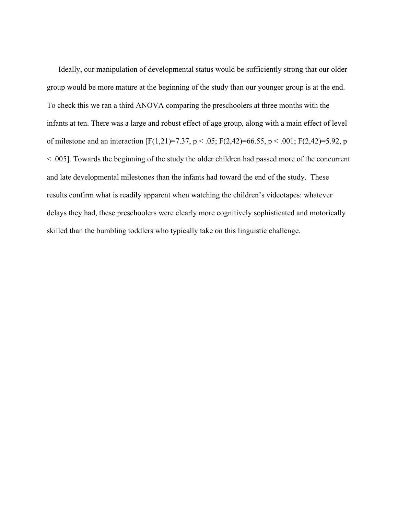Ideally, our manipulation of developmental status would be sufficiently strong that our older group would be more mature at the beginning of the study than our younger group is at the end. To check this we ran a third ANOVA comparing the preschoolers at three months with the infants at ten. There was a large and robust effect of age group, along with a main effect of level of milestone and an interaction  $[F(1,21)=7.37, p < .05; F(2,42)=66.55, p < .001; F(2,42)=5.92, p$ < .005]. Towards the beginning of the study the older children had passed more of the concurrent and late developmental milestones than the infants had toward the end of the study. These results confirm what is readily apparent when watching the children's videotapes: whatever delays they had, these preschoolers were clearly more cognitively sophisticated and motorically skilled than the bumbling toddlers who typically take on this linguistic challenge.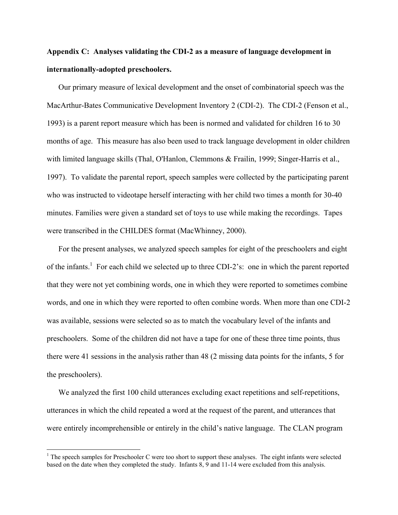# **Appendix C: Analyses validating the CDI-2 as a measure of language development in internationally-adopted preschoolers.**

Our primary measure of lexical development and the onset of combinatorial speech was the MacArthur-Bates Communicative Development Inventory 2 (CDI-2). The CDI-2 (Fenson et al., 1993) is a parent report measure which has been is normed and validated for children 16 to 30 months of age. This measure has also been used to track language development in older children with limited language skills (Thal, O'Hanlon, Clemmons & Frailin, 1999; Singer-Harris et al., 1997). To validate the parental report, speech samples were collected by the participating parent who was instructed to videotape herself interacting with her child two times a month for 30-40 minutes. Families were given a standard set of toys to use while making the recordings. Tapes were transcribed in the CHILDES format (MacWhinney, 2000).

For the present analyses, we analyzed speech samples for eight of the preschoolers and eight of the infants.<sup>1</sup> For each child we selected up to three CDI-2's: one in which the parent reported that they were not yet combining words, one in which they were reported to sometimes combine words, and one in which they were reported to often combine words. When more than one CDI-2 was available, sessions were selected so as to match the vocabulary level of the infants and preschoolers. Some of the children did not have a tape for one of these three time points, thus there were 41 sessions in the analysis rather than 48 (2 missing data points for the infants, 5 for the preschoolers).

We analyzed the first 100 child utterances excluding exact repetitions and self-repetitions, utterances in which the child repeated a word at the request of the parent, and utterances that were entirely incomprehensible or entirely in the child's native language. The CLAN program

 $\overline{a}$ 

 $<sup>1</sup>$  The speech samples for Preschooler C were too short to support these analyses. The eight infants were selected</sup> based on the date when they completed the study. Infants 8, 9 and 11-14 were excluded from this analysis.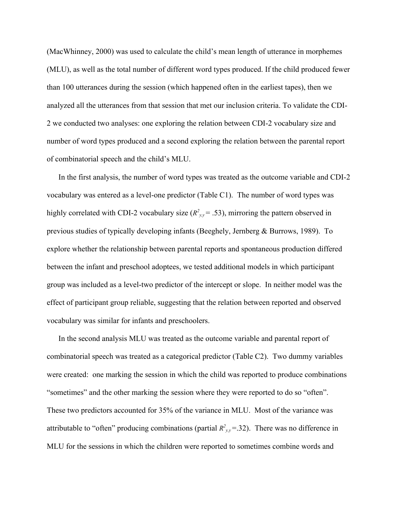(MacWhinney, 2000) was used to calculate the child's mean length of utterance in morphemes (MLU), as well as the total number of different word types produced. If the child produced fewer than 100 utterances during the session (which happened often in the earliest tapes), then we analyzed all the utterances from that session that met our inclusion criteria. To validate the CDI-2 we conducted two analyses: one exploring the relation between CDI-2 vocabulary size and number of word types produced and a second exploring the relation between the parental report of combinatorial speech and the child's MLU.

In the first analysis, the number of word types was treated as the outcome variable and CDI-2 vocabulary was entered as a level-one predictor (Table C1). The number of word types was highly correlated with CDI-2 vocabulary size  $(R^2_{y,y} = .53)$ , mirroring the pattern observed in previous studies of typically developing infants (Beeghely, Jernberg & Burrows, 1989). To explore whether the relationship between parental reports and spontaneous production differed between the infant and preschool adoptees, we tested additional models in which participant group was included as a level-two predictor of the intercept or slope. In neither model was the effect of participant group reliable, suggesting that the relation between reported and observed vocabulary was similar for infants and preschoolers.

In the second analysis MLU was treated as the outcome variable and parental report of combinatorial speech was treated as a categorical predictor (Table C2). Two dummy variables were created: one marking the session in which the child was reported to produce combinations "sometimes" and the other marking the session where they were reported to do so "often". These two predictors accounted for 35% of the variance in MLU. Most of the variance was attributable to "often" producing combinations (partial  $R^2_{y,y}$ =.32). There was no difference in MLU for the sessions in which the children were reported to sometimes combine words and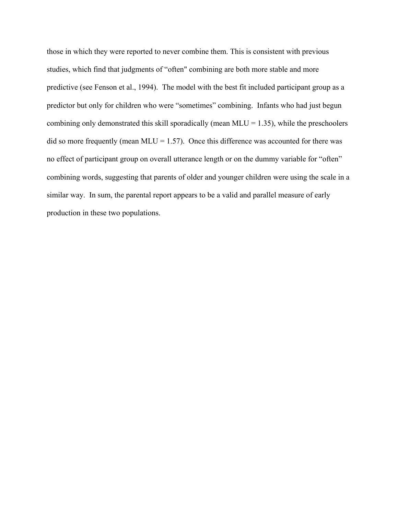those in which they were reported to never combine them. This is consistent with previous studies, which find that judgments of "often" combining are both more stable and more predictive (see Fenson et al., 1994). The model with the best fit included participant group as a predictor but only for children who were "sometimes" combining. Infants who had just begun combining only demonstrated this skill sporadically (mean  $MLU = 1.35$ ), while the preschoolers did so more frequently (mean MLU =  $1.57$ ). Once this difference was accounted for there was no effect of participant group on overall utterance length or on the dummy variable for "often" combining words, suggesting that parents of older and younger children were using the scale in a similar way. In sum, the parental report appears to be a valid and parallel measure of early production in these two populations.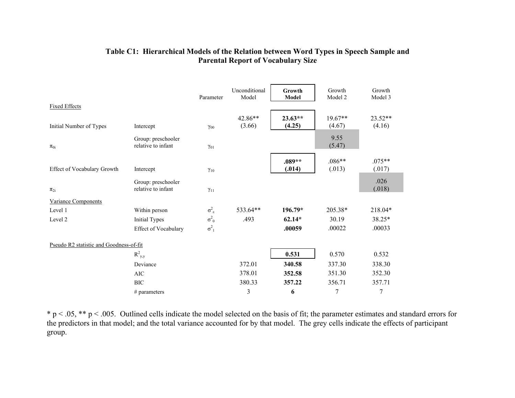|                                         |                                          | Parameter             | Unconditional<br>Model | Growth<br>Model     | Growth<br>Model 2   | Growth<br>Model 3  |
|-----------------------------------------|------------------------------------------|-----------------------|------------------------|---------------------|---------------------|--------------------|
| <b>Fixed Effects</b>                    |                                          |                       |                        |                     |                     |                    |
| Initial Number of Types                 | Intercept                                | $\gamma_{00}$         | 42.86**<br>(3.66)      | $23.63**$<br>(4.25) | $19.67**$<br>(4.67) | 23.52**<br>(4.16)  |
| $\pi_{0i}$                              | Group: preschooler<br>relative to infant | $\gamma_{01}$         |                        |                     | 9.55<br>(5.47)      |                    |
| Effect of Vocabulary Growth             | Intercept                                | $\gamma_{10}$         |                        | $.089**$<br>(.014)  | $.086**$<br>(.013)  | $.075**$<br>(.017) |
| $\pi_{2i}$                              | Group: preschooler<br>relative to infant | $\gamma_{11}$         |                        |                     |                     | .026<br>(.018)     |
| Variance Components                     |                                          |                       |                        |                     |                     |                    |
| Level 1                                 | Within person                            | $\sigma^2_{\epsilon}$ | 533.64**               | $196.79*$           | 205.38*             | 218.04*            |
| Level 2                                 | <b>Initial Types</b>                     | $\sigma^2_{\ 0}$      | .493                   | $62.14*$            | 30.19               | 38.25*             |
|                                         | Effect of Vocabulary                     | $\sigma^2_{1}$        |                        | .00059              | .00022              | .00033             |
| Pseudo R2 statistic and Goodness-of-fit |                                          |                       |                        |                     |                     |                    |
|                                         | $R_{y,y}^2$                              |                       |                        | 0.531               | 0.570               | 0.532              |
|                                         | Deviance                                 |                       | 372.01                 | 340.58              | 337.30              | 338.30             |
|                                         | <b>AIC</b>                               |                       | 378.01                 | 352.58              | 351.30              | 352.30             |
|                                         | <b>BIC</b>                               |                       | 380.33                 | 357.22              | 356.71              | 357.71             |
|                                         | # parameters                             |                       | 3                      | 6                   | 7                   | 7                  |

## **Table C1: Hierarchical Models of the Relation between Word Types in Speech Sample and Parental Report of Vocabulary Size**

 $* p < .05$ ,  $** p < .005$ . Outlined cells indicate the model selected on the basis of fit; the parameter estimates and standard errors for the predictors in that model; and the total variance accounted for by that model. The grey cells indicate the effects of participant group.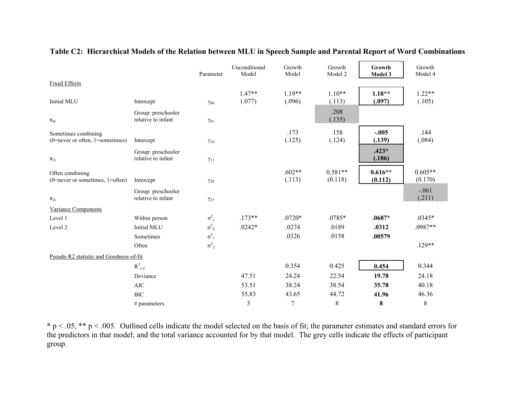|                                                           |                                          | Parameter               | Unconditional<br>Model | Growth<br>Model    | Growth<br>Model 2    | Growth<br>Model 3    | Growth<br>Model 4    |
|-----------------------------------------------------------|------------------------------------------|-------------------------|------------------------|--------------------|----------------------|----------------------|----------------------|
| <b>Fixed Effects</b>                                      |                                          |                         |                        |                    |                      |                      |                      |
| Initial MLU                                               | Intercept                                | $\gamma_{00}$           | $1.47**$<br>(.077)     | $1.19**$<br>(.096) | $1.10**$<br>(.113)   | $1.18**$<br>(.097)   | $1.22**$<br>(.105)   |
| $\pi_{0i}$                                                | Group: preschooler<br>relative to infant | $\gamma_{01}$           |                        |                    | .208<br>(.135)       |                      |                      |
| Sometimes combining<br>$(0=$ never or often, 1=sometimes) | Intercept                                | $\gamma_{10}$           |                        | .173<br>(.125)     | .158<br>(.124)       | $-.005$<br>(.139)    | .144<br>(.084)       |
| $\pi_{2i}$                                                | Group: preschooler<br>relative to infant | $\gamma_{11}$           |                        |                    |                      | $.423*$<br>(.186)    |                      |
| Often combining<br>$(0=$ never or sometimes, 1=often)     | Intercept                                | $\gamma_{20}$           |                        | $.602**$<br>(.113) | $0.581**$<br>(0.118) | $0.616**$<br>(0.112) | $0.605**$<br>(0.170) |
| $\pi_{2i}$                                                | Group: preschooler<br>relative to infant | $\gamma_{21}$           |                        |                    |                      |                      | $-.061$<br>(.211)    |
| Variance Components                                       |                                          |                         |                        |                    |                      |                      |                      |
| Level 1                                                   | Within person                            | $\sigma^2_{\ \epsilon}$ | $.173**$               | $.0720*$           | .0785*               | $.0687*$             | $.0345*$             |
| Level 2                                                   | Initial MLU                              | $\sigma^2_{\ 0}$        | $.0242*$               | .0274              | .0189                | .0312                | .0987**              |
|                                                           | Sometimes                                | $\sigma^2_{1}$          |                        | .0326              | .0158                | .00579               |                      |
|                                                           | Often                                    | $\sigma^2$ <sub>2</sub> |                        |                    |                      |                      | $.129**$             |
| Pseudo R2 statistic and Goodness-of-fit                   |                                          |                         |                        |                    |                      |                      |                      |
|                                                           | $R_{y,y}^2$                              |                         |                        | 0.354              | 0.425                | 0.454                | 0.344                |
|                                                           | Deviance                                 |                         | 47.51                  | 24.24              | 22.54                | 19.78                | 24.18                |
|                                                           | <b>AIC</b>                               |                         | 53.51                  | 38.24              | 38.54                | 35.78                | 40.18                |
|                                                           | <b>BIC</b>                               |                         | 55.83                  | 43.65              | 44.72                | 41.96                | 46.36                |
|                                                           | $#$ parameters                           |                         | 3                      | $\overline{7}$     | $8\,$                | $\bf{8}$             | $\,8\,$              |

### **Table C2: Hierarchical Models of the Relation between MLU in Speech Sample and Parental Report of Word Combinations**

\* p < .05, \*\* p < .005. Outlined cells indicate the model selected on the basis of fit; the parameter estimates and standard errors for the predictors in that model; and the total variance accounted for by that model. The grey cells indicate the effects of participant group.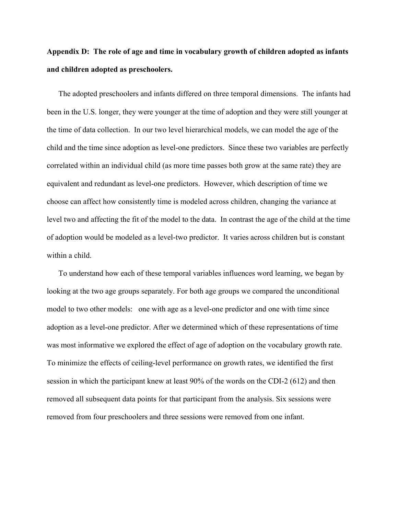# **Appendix D: The role of age and time in vocabulary growth of children adopted as infants and children adopted as preschoolers.**

The adopted preschoolers and infants differed on three temporal dimensions. The infants had been in the U.S. longer, they were younger at the time of adoption and they were still younger at the time of data collection. In our two level hierarchical models, we can model the age of the child and the time since adoption as level-one predictors. Since these two variables are perfectly correlated within an individual child (as more time passes both grow at the same rate) they are equivalent and redundant as level-one predictors. However, which description of time we choose can affect how consistently time is modeled across children, changing the variance at level two and affecting the fit of the model to the data. In contrast the age of the child at the time of adoption would be modeled as a level-two predictor. It varies across children but is constant within a child.

To understand how each of these temporal variables influences word learning, we began by looking at the two age groups separately. For both age groups we compared the unconditional model to two other models: one with age as a level-one predictor and one with time since adoption as a level-one predictor. After we determined which of these representations of time was most informative we explored the effect of age of adoption on the vocabulary growth rate. To minimize the effects of ceiling-level performance on growth rates, we identified the first session in which the participant knew at least 90% of the words on the CDI-2 (612) and then removed all subsequent data points for that participant from the analysis. Six sessions were removed from four preschoolers and three sessions were removed from one infant.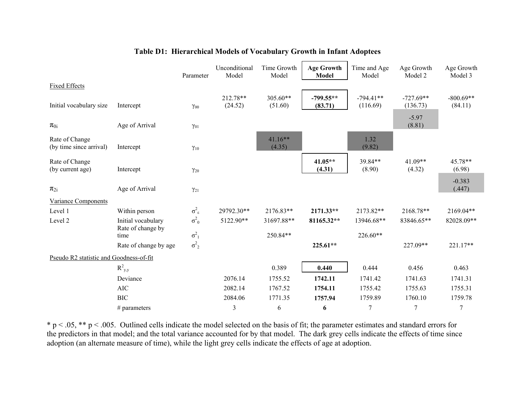|                                           |                           | Parameter               | Unconditional<br>Model | Time Growth<br>Model | <b>Age Growth</b><br><b>Model</b> | Time and Age<br>Model   | Age Growth<br>Model 2   | Age Growth<br>Model 3  |
|-------------------------------------------|---------------------------|-------------------------|------------------------|----------------------|-----------------------------------|-------------------------|-------------------------|------------------------|
| <b>Fixed Effects</b>                      |                           |                         |                        |                      |                                   |                         |                         |                        |
| Initial vocabulary size                   | Intercept                 | $\gamma_{00}$           | 212.78**<br>(24.52)    | 305.60**<br>(51.60)  | $-799.55**$<br>(83.71)            | $-794.41**$<br>(116.69) | $-727.69**$<br>(136.73) | $-800.69**$<br>(84.11) |
| $\pi_{0i}$                                | Age of Arrival            | $\gamma_{01}$           |                        |                      |                                   |                         | $-5.97$<br>(8.81)       |                        |
| Rate of Change<br>(by time since arrival) | Intercept                 | $\gamma_{10}$           |                        | $41.16**$<br>(4.35)  |                                   | 1.32<br>(9.82)          |                         |                        |
| Rate of Change<br>(by current age)        | Intercept                 | $\gamma_{20}$           |                        |                      | 41.05**<br>(4.31)                 | 39.84**<br>(8.90)       | 41.09**<br>(4.32)       | 45.78**<br>(6.98)      |
| $\pi_{2i}$                                | Age of Arrival            | $\gamma_{21}$           |                        |                      |                                   |                         |                         | $-0.383$<br>(.447)     |
| <b>Variance Components</b>                |                           |                         |                        |                      |                                   |                         |                         |                        |
| Level 1                                   | Within person             | $\sigma^2_{\epsilon}$   | 29792.30**             | 2176.83**            | 2171.33**                         | 2173.82**               | 2168.78**               | 2169.04**              |
| Level 2                                   | Initial vocabulary        | $\sigma^2_{0}$          | 5122.90**              | 31697.88**           | 81165.32**                        | 13946.68**              | 83846.65**              | 82028.09**             |
|                                           | Rate of change by<br>time | $\sigma^2_{1}$          |                        | 250.84**             |                                   | 226.60**                |                         |                        |
|                                           | Rate of change by age     | $\sigma^2$ <sub>2</sub> |                        |                      | 225.61**                          |                         | 227.09**                | 221.17**               |
| Pseudo R2 statistic and Goodness-of-fit   |                           |                         |                        |                      |                                   |                         |                         |                        |
|                                           | $R_{y,y}^2$               |                         |                        | 0.389                | 0.440                             | 0.444                   | 0.456                   | 0.463                  |
|                                           | Deviance                  |                         | 2076.14                | 1755.52              | 1742.11                           | 1741.42                 | 1741.63                 | 1741.31                |
|                                           | <b>AIC</b>                |                         | 2082.14                | 1767.52              | 1754.11                           | 1755.42                 | 1755.63                 | 1755.31                |
|                                           | <b>BIC</b>                |                         | 2084.06                | 1771.35              | 1757.94                           | 1759.89                 | 1760.10                 | 1759.78                |
|                                           | $#$ parameters            |                         | $\mathfrak{Z}$         | 6                    | 6                                 | $\overline{7}$          | $\overline{7}$          | 7                      |

## **Table D1: Hierarchical Models of Vocabulary Growth in Infant Adoptees**

\* p < .05, \*\* p < .005. Outlined cells indicate the model selected on the basis of fit; the parameter estimates and standard errors for the predictors in that model; and the total variance accounted for by that model. The dark grey cells indicate the effects of time since adoption (an alternate measure of time), while the light grey cells indicate the effects of age at adoption.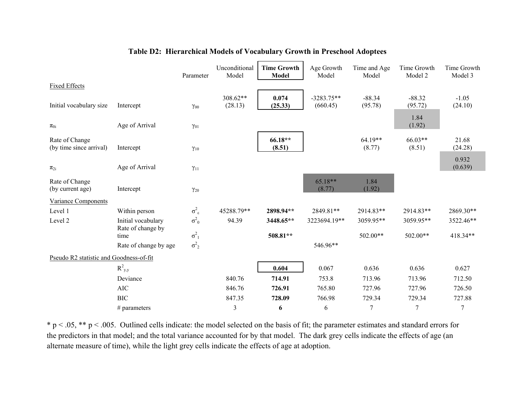|                                           |                           | Parameter               | Unconditional<br>Model | <b>Time Growth</b><br><b>Model</b> | Age Growth<br>Model      | Time and Age<br>Model | Time Growth<br>Model 2 | Time Growth<br>Model 3 |
|-------------------------------------------|---------------------------|-------------------------|------------------------|------------------------------------|--------------------------|-----------------------|------------------------|------------------------|
| <b>Fixed Effects</b>                      |                           |                         |                        |                                    |                          |                       |                        |                        |
| Initial vocabulary size                   | Intercept                 | $\gamma_{00}$           | 308.62**<br>(28.13)    | 0.074<br>(25.33)                   | $-3283.75**$<br>(660.45) | $-88.34$<br>(95.78)   | $-88.32$<br>(95.72)    | $-1.05$<br>(24.10)     |
| $\pi_{0i}$                                | Age of Arrival            | $\gamma_{01}$           |                        |                                    |                          |                       | 1.84<br>(1.92)         |                        |
| Rate of Change<br>(by time since arrival) | Intercept                 | $\gamma_{10}$           |                        | 66.18**<br>(8.51)                  |                          | 64.19**<br>(8.77)     | 66.03**<br>(8.51)      | 21.68<br>(24.28)       |
| $\pi_{2i}$                                | Age of Arrival            | $\gamma_{11}$           |                        |                                    |                          |                       |                        | 0.932<br>(0.639)       |
| Rate of Change<br>(by current age)        | Intercept                 | $\gamma_{20}$           |                        |                                    | $65.18**$<br>(8.77)      | 1.84<br>(1.92)        |                        |                        |
| <b>Variance Components</b>                |                           |                         |                        |                                    |                          |                       |                        |                        |
| Level 1                                   | Within person             | $\sigma^2_{\ \epsilon}$ | 45288.79**             | 2898.94**                          | 2849.81**                | 2914.83**             | 2914.83**              | 2869.30**              |
| Level 2                                   | Initial vocabulary        | $\sigma^2_{0}$          | 94.39                  | 3448.65**                          | 3223694.19**             | 3059.95**             | 3059.95**              | 3522.46**              |
|                                           | Rate of change by<br>time | $\sigma^2_{1}$          |                        | 508.81**                           |                          | 502.00**              | 502.00**               | 418.34**               |
|                                           | Rate of change by age     | $\sigma^2$ <sub>2</sub> |                        |                                    | 546.96**                 |                       |                        |                        |
| Pseudo R2 statistic and Goodness-of-fit   |                           |                         |                        |                                    |                          |                       |                        |                        |
|                                           | $R_{y,y}^2$               |                         |                        | 0.604                              | 0.067                    | 0.636                 | 0.636                  | 0.627                  |
|                                           | Deviance                  |                         | 840.76                 | 714.91                             | 753.8                    | 713.96                | 713.96                 | 712.50                 |
|                                           | <b>AIC</b>                |                         | 846.76                 | 726.91                             | 765.80                   | 727.96                | 727.96                 | 726.50                 |
|                                           | <b>BIC</b>                |                         | 847.35                 | 728.09                             | 766.98                   | 729.34                | 729.34                 | 727.88                 |
|                                           | $#$ parameters            |                         | 3                      | 6                                  | 6                        | 7                     | $\overline{7}$         | $\overline{7}$         |

## **Table D2: Hierarchical Models of Vocabulary Growth in Preschool Adoptees**

 $* p < .05$ ,  $** p < .005$ . Outlined cells indicate: the model selected on the basis of fit; the parameter estimates and standard errors for the predictors in that model; and the total variance accounted for by that model. The dark grey cells indicate the effects of age (an alternate measure of time), while the light grey cells indicate the effects of age at adoption.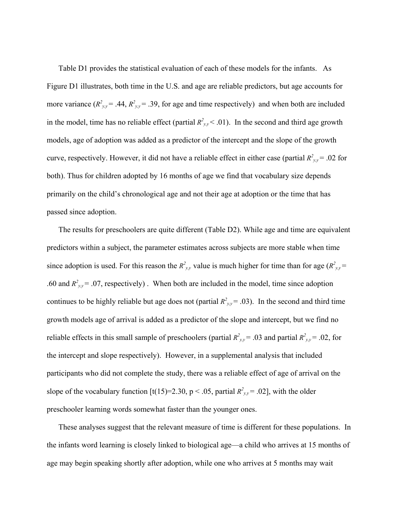Table D1 provides the statistical evaluation of each of these models for the infants. As Figure D1 illustrates, both time in the U.S. and age are reliable predictors, but age accounts for more variance  $(R_{yy}^2 = .44, R_{yy}^2 = .39)$ , for age and time respectively) and when both are included in the model, time has no reliable effect (partial  $R_{y,y}^2$  < .01). In the second and third age growth models, age of adoption was added as a predictor of the intercept and the slope of the growth curve, respectively. However, it did not have a reliable effect in either case (partial  $R^2_{y,y}$  = .02 for both). Thus for children adopted by 16 months of age we find that vocabulary size depends primarily on the child's chronological age and not their age at adoption or the time that has passed since adoption.

The results for preschoolers are quite different (Table D2). While age and time are equivalent predictors within a subject, the parameter estimates across subjects are more stable when time since adoption is used. For this reason the  $R^2_{y,y}$  value is much higher for time than for age  $(R^2_{y,y}$  = .60 and  $R^2_{y,y}$  = .07, respectively). When both are included in the model, time since adoption continues to be highly reliable but age does not (partial  $R^2 y_y = .03$ ). In the second and third time growth models age of arrival is added as a predictor of the slope and intercept, but we find no reliable effects in this small sample of preschoolers (partial  $R^2_{y,y}$  = .03 and partial  $R^2_{y,y}$  = .02, for the intercept and slope respectively). However, in a supplemental analysis that included participants who did not complete the study, there was a reliable effect of age of arrival on the slope of the vocabulary function  $[t(15)=2.30, p < .05$ , partial  $R^2_{y,y} = .02$ , with the older preschooler learning words somewhat faster than the younger ones.

These analyses suggest that the relevant measure of time is different for these populations. In the infants word learning is closely linked to biological age—a child who arrives at 15 months of age may begin speaking shortly after adoption, while one who arrives at 5 months may wait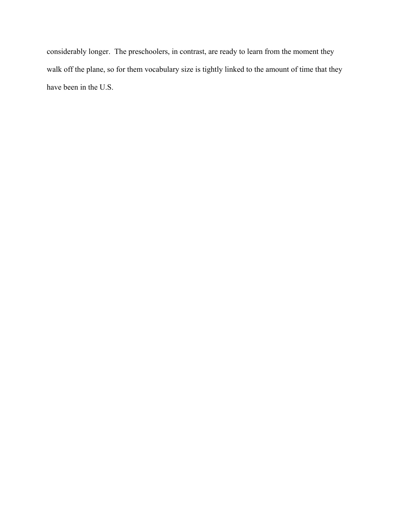considerably longer. The preschoolers, in contrast, are ready to learn from the moment they walk off the plane, so for them vocabulary size is tightly linked to the amount of time that they have been in the U.S.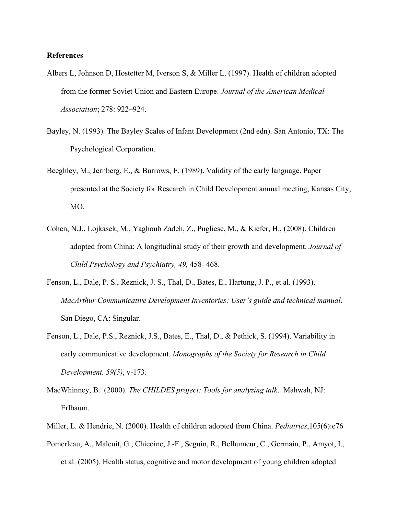### **References**

- Albers L, Johnson D, Hostetter M, Iverson S, & Miller L. (1997). Health of children adopted from the former Soviet Union and Eastern Europe. *Journal of the American Medical Association*; 278: 922–924.
- Bayley, N. (1993). The Bayley Scales of Infant Development (2nd edn). San Antonio, TX: The Psychological Corporation.
- Beeghley, M., Jernberg, E., & Burrows, E. (1989). Validity of the early language. Paper presented at the Society for Research in Child Development annual meeting, Kansas City, MO.
- Cohen, N.J., Lojkasek, M., Yaghoub Zadeh, Z., Pugliese, M., & Kiefer, H., (2008). Children adopted from China: A longitudinal study of their growth and development. *Journal of Child Psychology and Psychiatry, 49,* 458- 468.
- Fenson, L., Dale, P. S., Reznick, J. S., Thal, D., Bates, E., Hartung, J. P., et al. (1993). *MacArthur Communicative Development Inventories: User's guide and technical manual*. San Diego, CA: Singular.
- Fenson, L., Dale, P.S., Reznick, J.S., Bates, E., Thal, D., & Pethick, S. (1994). Variability in early communicative development. *Monographs of the Society for Research in Child Development. 59(5)*, v-173.
- MacWhinney, B. (2000). *The CHILDES project: Tools for analyzing talk*. Mahwah, NJ: Erlbaum.
- Miller, L. & Hendrie, N. (2000). Health of children adopted from China. *Pediatrics*,105(6):e76
- Pomerleau, A., Malcuit, G., Chicoine, J.-F., Seguin, R., Belhumeur, C., Germain, P., Amyot, I., et al. (2005). Health status, cognitive and motor development of young children adopted